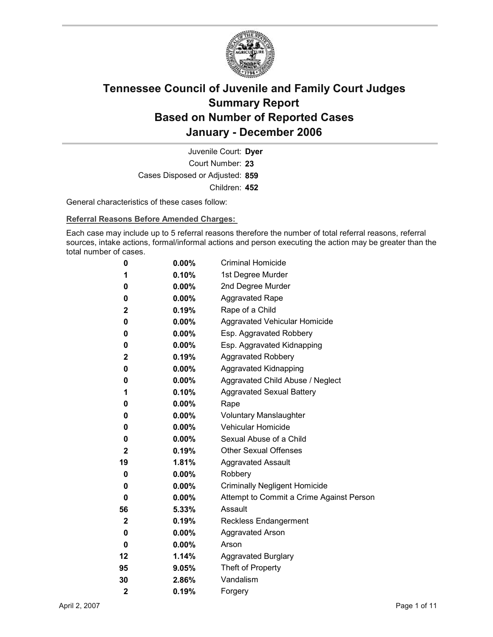

Court Number: **23** Juvenile Court: **Dyer** Cases Disposed or Adjusted: **859** Children: **452**

General characteristics of these cases follow:

**Referral Reasons Before Amended Charges:** 

Each case may include up to 5 referral reasons therefore the number of total referral reasons, referral sources, intake actions, formal/informal actions and person executing the action may be greater than the total number of cases.

| 0                       | $0.00\%$ | <b>Criminal Homicide</b>                 |
|-------------------------|----------|------------------------------------------|
| 1                       | 0.10%    | 1st Degree Murder                        |
| 0                       | $0.00\%$ | 2nd Degree Murder                        |
| 0                       | $0.00\%$ | <b>Aggravated Rape</b>                   |
| $\mathbf 2$             | 0.19%    | Rape of a Child                          |
| 0                       | $0.00\%$ | Aggravated Vehicular Homicide            |
| 0                       | $0.00\%$ | Esp. Aggravated Robbery                  |
| 0                       | $0.00\%$ | Esp. Aggravated Kidnapping               |
| $\mathbf{2}$            | 0.19%    | <b>Aggravated Robbery</b>                |
| 0                       | $0.00\%$ | <b>Aggravated Kidnapping</b>             |
| 0                       | $0.00\%$ | Aggravated Child Abuse / Neglect         |
| 1                       | 0.10%    | <b>Aggravated Sexual Battery</b>         |
| 0                       | $0.00\%$ | Rape                                     |
| 0                       | $0.00\%$ | <b>Voluntary Manslaughter</b>            |
| 0                       | $0.00\%$ | <b>Vehicular Homicide</b>                |
| 0                       | $0.00\%$ | Sexual Abuse of a Child                  |
| $\mathbf{2}$            | $0.19\%$ | <b>Other Sexual Offenses</b>             |
| 19                      | 1.81%    | <b>Aggravated Assault</b>                |
| 0                       | $0.00\%$ | Robbery                                  |
| 0                       | $0.00\%$ | <b>Criminally Negligent Homicide</b>     |
| 0                       | $0.00\%$ | Attempt to Commit a Crime Against Person |
| 56                      | 5.33%    | Assault                                  |
| $\mathbf{2}$            | 0.19%    | <b>Reckless Endangerment</b>             |
| 0                       | $0.00\%$ | <b>Aggravated Arson</b>                  |
| 0                       | $0.00\%$ | Arson                                    |
| 12                      | 1.14%    | <b>Aggravated Burglary</b>               |
| 95                      | 9.05%    | Theft of Property                        |
| 30                      | 2.86%    | Vandalism                                |
| $\overline{\mathbf{2}}$ | 0.19%    | Forgery                                  |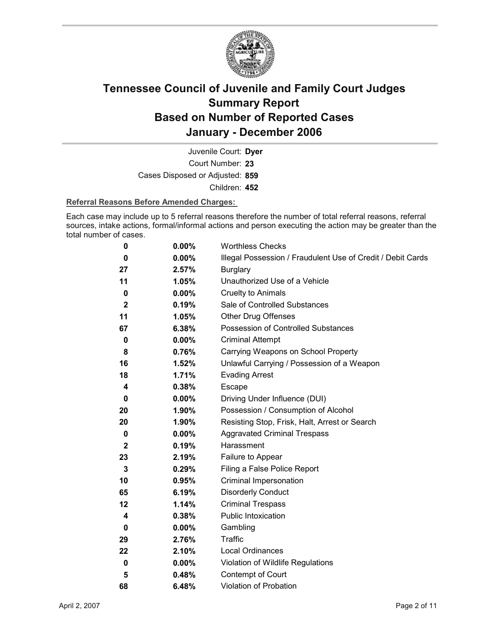

Court Number: **23** Juvenile Court: **Dyer** Cases Disposed or Adjusted: **859** Children: **452**

### **Referral Reasons Before Amended Charges:**

Each case may include up to 5 referral reasons therefore the number of total referral reasons, referral sources, intake actions, formal/informal actions and person executing the action may be greater than the total number of cases.

| 0            | 0.00%    | <b>Worthless Checks</b>                                     |
|--------------|----------|-------------------------------------------------------------|
| 0            | 0.00%    | Illegal Possession / Fraudulent Use of Credit / Debit Cards |
| 27           | 2.57%    | <b>Burglary</b>                                             |
| 11           | 1.05%    | Unauthorized Use of a Vehicle                               |
| 0            | $0.00\%$ | <b>Cruelty to Animals</b>                                   |
| $\mathbf{2}$ | 0.19%    | Sale of Controlled Substances                               |
| 11           | 1.05%    | <b>Other Drug Offenses</b>                                  |
| 67           | 6.38%    | Possession of Controlled Substances                         |
| 0            | $0.00\%$ | <b>Criminal Attempt</b>                                     |
| 8            | 0.76%    | Carrying Weapons on School Property                         |
| 16           | 1.52%    | Unlawful Carrying / Possession of a Weapon                  |
| 18           | 1.71%    | <b>Evading Arrest</b>                                       |
| 4            | 0.38%    | Escape                                                      |
| 0            | $0.00\%$ | Driving Under Influence (DUI)                               |
| 20           | 1.90%    | Possession / Consumption of Alcohol                         |
| 20           | 1.90%    | Resisting Stop, Frisk, Halt, Arrest or Search               |
| 0            | 0.00%    | <b>Aggravated Criminal Trespass</b>                         |
| $\mathbf{2}$ | 0.19%    | Harassment                                                  |
| 23           | 2.19%    | Failure to Appear                                           |
| 3            | 0.29%    | Filing a False Police Report                                |
| 10           | 0.95%    | Criminal Impersonation                                      |
| 65           | 6.19%    | <b>Disorderly Conduct</b>                                   |
| 12           | 1.14%    | <b>Criminal Trespass</b>                                    |
| 4            | 0.38%    | <b>Public Intoxication</b>                                  |
| 0            | 0.00%    | Gambling                                                    |
| 29           | 2.76%    | <b>Traffic</b>                                              |
| 22           | 2.10%    | <b>Local Ordinances</b>                                     |
| $\pmb{0}$    | 0.00%    | Violation of Wildlife Regulations                           |
| 5            | 0.48%    | Contempt of Court                                           |
| 68           | 6.48%    | <b>Violation of Probation</b>                               |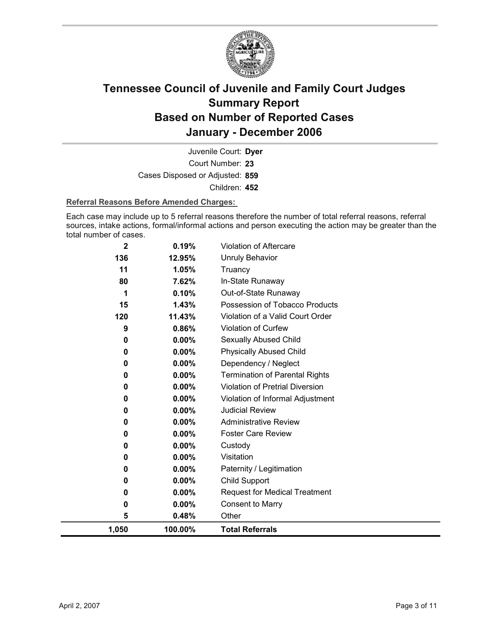

Court Number: **23** Juvenile Court: **Dyer** Cases Disposed or Adjusted: **859** Children: **452**

### **Referral Reasons Before Amended Charges:**

Each case may include up to 5 referral reasons therefore the number of total referral reasons, referral sources, intake actions, formal/informal actions and person executing the action may be greater than the total number of cases.

| 11<br>1.05%<br>Truancy<br>80<br>7.62%<br>In-State Runaway<br>Out-of-State Runaway<br>0.10%<br>1<br>15<br>1.43%<br>Possession of Tobacco Products<br>Violation of a Valid Court Order<br>11.43%<br>120<br><b>Violation of Curfew</b><br>0.86%<br>9<br>0.00%<br>Sexually Abused Child<br>0<br>0.00%<br><b>Physically Abused Child</b><br>0<br>0.00%<br>Dependency / Neglect<br>0<br>0.00%<br><b>Termination of Parental Rights</b><br>0<br><b>Violation of Pretrial Diversion</b><br>0.00%<br>0<br>$0.00\%$<br>Violation of Informal Adjustment<br>0<br><b>Judicial Review</b><br>$0.00\%$<br>0<br><b>Administrative Review</b><br>$0.00\%$<br>0<br><b>Foster Care Review</b><br>0.00%<br>0<br>0.00%<br>0<br>Custody<br>Visitation<br>0.00%<br>0<br>$0.00\%$<br>Paternity / Legitimation<br>0<br>Child Support<br>$0.00\%$<br>0<br><b>Request for Medical Treatment</b><br>$0.00\%$<br>0<br><b>Consent to Marry</b><br>$0.00\%$<br>0 | 2<br>136 | 0.19%<br>12.95% | Violation of Aftercare<br><b>Unruly Behavior</b> |
|------------------------------------------------------------------------------------------------------------------------------------------------------------------------------------------------------------------------------------------------------------------------------------------------------------------------------------------------------------------------------------------------------------------------------------------------------------------------------------------------------------------------------------------------------------------------------------------------------------------------------------------------------------------------------------------------------------------------------------------------------------------------------------------------------------------------------------------------------------------------------------------------------------------------------------|----------|-----------------|--------------------------------------------------|
|                                                                                                                                                                                                                                                                                                                                                                                                                                                                                                                                                                                                                                                                                                                                                                                                                                                                                                                                    |          |                 |                                                  |
|                                                                                                                                                                                                                                                                                                                                                                                                                                                                                                                                                                                                                                                                                                                                                                                                                                                                                                                                    |          |                 |                                                  |
|                                                                                                                                                                                                                                                                                                                                                                                                                                                                                                                                                                                                                                                                                                                                                                                                                                                                                                                                    |          |                 |                                                  |
|                                                                                                                                                                                                                                                                                                                                                                                                                                                                                                                                                                                                                                                                                                                                                                                                                                                                                                                                    |          |                 |                                                  |
|                                                                                                                                                                                                                                                                                                                                                                                                                                                                                                                                                                                                                                                                                                                                                                                                                                                                                                                                    |          |                 |                                                  |
|                                                                                                                                                                                                                                                                                                                                                                                                                                                                                                                                                                                                                                                                                                                                                                                                                                                                                                                                    |          |                 |                                                  |
|                                                                                                                                                                                                                                                                                                                                                                                                                                                                                                                                                                                                                                                                                                                                                                                                                                                                                                                                    |          |                 |                                                  |
|                                                                                                                                                                                                                                                                                                                                                                                                                                                                                                                                                                                                                                                                                                                                                                                                                                                                                                                                    |          |                 |                                                  |
|                                                                                                                                                                                                                                                                                                                                                                                                                                                                                                                                                                                                                                                                                                                                                                                                                                                                                                                                    |          |                 |                                                  |
|                                                                                                                                                                                                                                                                                                                                                                                                                                                                                                                                                                                                                                                                                                                                                                                                                                                                                                                                    |          |                 |                                                  |
|                                                                                                                                                                                                                                                                                                                                                                                                                                                                                                                                                                                                                                                                                                                                                                                                                                                                                                                                    |          |                 |                                                  |
|                                                                                                                                                                                                                                                                                                                                                                                                                                                                                                                                                                                                                                                                                                                                                                                                                                                                                                                                    |          |                 |                                                  |
|                                                                                                                                                                                                                                                                                                                                                                                                                                                                                                                                                                                                                                                                                                                                                                                                                                                                                                                                    |          |                 |                                                  |
|                                                                                                                                                                                                                                                                                                                                                                                                                                                                                                                                                                                                                                                                                                                                                                                                                                                                                                                                    |          |                 |                                                  |
|                                                                                                                                                                                                                                                                                                                                                                                                                                                                                                                                                                                                                                                                                                                                                                                                                                                                                                                                    |          |                 |                                                  |
|                                                                                                                                                                                                                                                                                                                                                                                                                                                                                                                                                                                                                                                                                                                                                                                                                                                                                                                                    |          |                 |                                                  |
|                                                                                                                                                                                                                                                                                                                                                                                                                                                                                                                                                                                                                                                                                                                                                                                                                                                                                                                                    |          |                 |                                                  |
|                                                                                                                                                                                                                                                                                                                                                                                                                                                                                                                                                                                                                                                                                                                                                                                                                                                                                                                                    |          |                 |                                                  |
|                                                                                                                                                                                                                                                                                                                                                                                                                                                                                                                                                                                                                                                                                                                                                                                                                                                                                                                                    |          |                 |                                                  |
|                                                                                                                                                                                                                                                                                                                                                                                                                                                                                                                                                                                                                                                                                                                                                                                                                                                                                                                                    |          |                 |                                                  |
|                                                                                                                                                                                                                                                                                                                                                                                                                                                                                                                                                                                                                                                                                                                                                                                                                                                                                                                                    |          |                 |                                                  |
| 5<br>0.48%<br>Other                                                                                                                                                                                                                                                                                                                                                                                                                                                                                                                                                                                                                                                                                                                                                                                                                                                                                                                |          |                 |                                                  |
| 1,050<br>100.00%<br><b>Total Referrals</b>                                                                                                                                                                                                                                                                                                                                                                                                                                                                                                                                                                                                                                                                                                                                                                                                                                                                                         |          |                 |                                                  |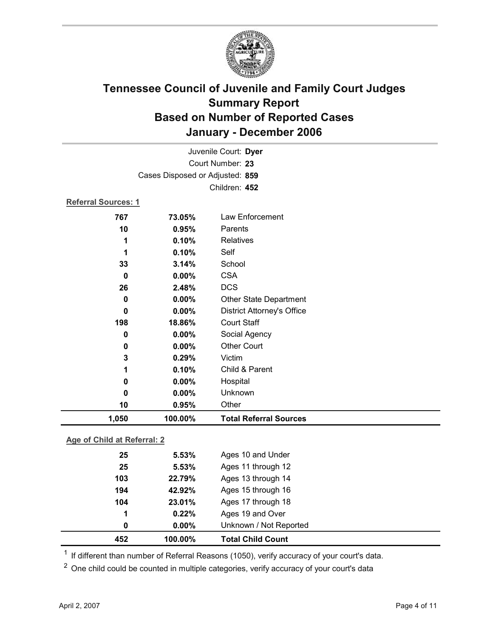

| Juvenile Court: Dyer             |          |                                   |  |  |
|----------------------------------|----------|-----------------------------------|--|--|
| Court Number: 23                 |          |                                   |  |  |
| Cases Disposed or Adjusted: 859  |          |                                   |  |  |
|                                  |          | Children: 452                     |  |  |
| <b>Referral Sources: 1</b>       |          |                                   |  |  |
| 767                              | 73.05%   | Law Enforcement                   |  |  |
| 10                               | 0.95%    | Parents                           |  |  |
| 1                                | 0.10%    | <b>Relatives</b>                  |  |  |
| 1                                | 0.10%    | Self                              |  |  |
| 33                               | 3.14%    | School                            |  |  |
| $\mathbf 0$                      | 0.00%    | <b>CSA</b>                        |  |  |
| 26                               | 2.48%    | <b>DCS</b>                        |  |  |
| 0                                | 0.00%    | <b>Other State Department</b>     |  |  |
| $\bf{0}$                         | 0.00%    | <b>District Attorney's Office</b> |  |  |
| 198                              | 18.86%   | <b>Court Staff</b>                |  |  |
| 0                                | 0.00%    | Social Agency                     |  |  |
| 0                                | $0.00\%$ | <b>Other Court</b>                |  |  |
| 3                                | 0.29%    | Victim                            |  |  |
| 1                                | 0.10%    | Child & Parent                    |  |  |
| 0                                | 0.00%    | Hospital                          |  |  |
| 0                                | 0.00%    | Unknown                           |  |  |
| 10                               | 0.95%    | Other                             |  |  |
| 1,050                            | 100.00%  | <b>Total Referral Sources</b>     |  |  |
| Age of Child at Referral: 2      |          |                                   |  |  |
| 25<br>5.53%<br>Ages 10 and Under |          |                                   |  |  |
|                                  |          |                                   |  |  |

| 452 | 100.00%        | <b>Total Child Count</b> |  |
|-----|----------------|--------------------------|--|
| 0   | $0.00\%$       | Unknown / Not Reported   |  |
| 1   | 0.22%          | Ages 19 and Over         |  |
| 104 | 23.01%         | Ages 17 through 18       |  |
| 194 | 42.92%         | Ages 15 through 16       |  |
| 103 | 22.79%         | Ages 13 through 14       |  |
| 25  | 5.53%          | Ages 11 through 12       |  |
| Zυ  | <u>ນ.ນວ /ດ</u> | <b>AYES</b> TV AND UNUCH |  |

 $1$  If different than number of Referral Reasons (1050), verify accuracy of your court's data.

<sup>2</sup> One child could be counted in multiple categories, verify accuracy of your court's data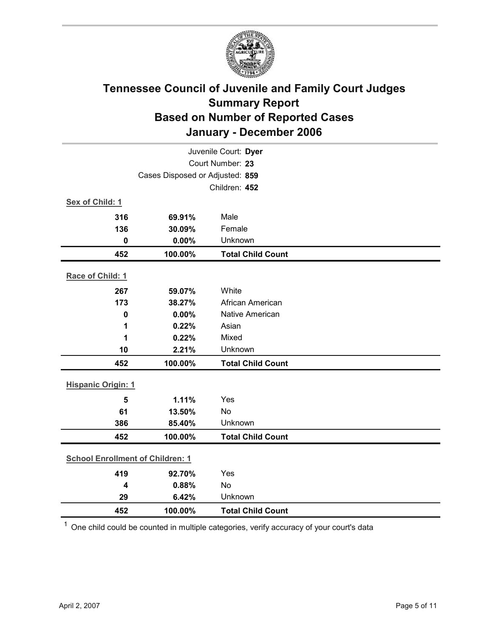

| Juvenile Court: Dyer                    |         |                          |  |
|-----------------------------------------|---------|--------------------------|--|
| Court Number: 23                        |         |                          |  |
| Cases Disposed or Adjusted: 859         |         |                          |  |
|                                         |         | Children: 452            |  |
| Sex of Child: 1                         |         |                          |  |
| 316                                     | 69.91%  | Male                     |  |
| 136                                     | 30.09%  | Female                   |  |
| $\mathbf 0$                             | 0.00%   | Unknown                  |  |
| 452                                     | 100.00% | <b>Total Child Count</b> |  |
| Race of Child: 1                        |         |                          |  |
| 267                                     | 59.07%  | White                    |  |
| 173                                     | 38.27%  | African American         |  |
| $\mathbf 0$                             | 0.00%   | Native American          |  |
| 1                                       | 0.22%   | Asian                    |  |
| 1                                       | 0.22%   | Mixed                    |  |
| 10                                      | 2.21%   | Unknown                  |  |
| 452                                     | 100.00% | <b>Total Child Count</b> |  |
| <b>Hispanic Origin: 1</b>               |         |                          |  |
| 5                                       | 1.11%   | Yes                      |  |
| 61                                      | 13.50%  | <b>No</b>                |  |
| 386                                     | 85.40%  | Unknown                  |  |
| 452                                     | 100.00% | <b>Total Child Count</b> |  |
| <b>School Enrollment of Children: 1</b> |         |                          |  |
| 419                                     | 92.70%  | Yes                      |  |
| 4                                       | 0.88%   | No                       |  |
| 29                                      | 6.42%   | Unknown                  |  |
| 452                                     | 100.00% | <b>Total Child Count</b> |  |

 $1$  One child could be counted in multiple categories, verify accuracy of your court's data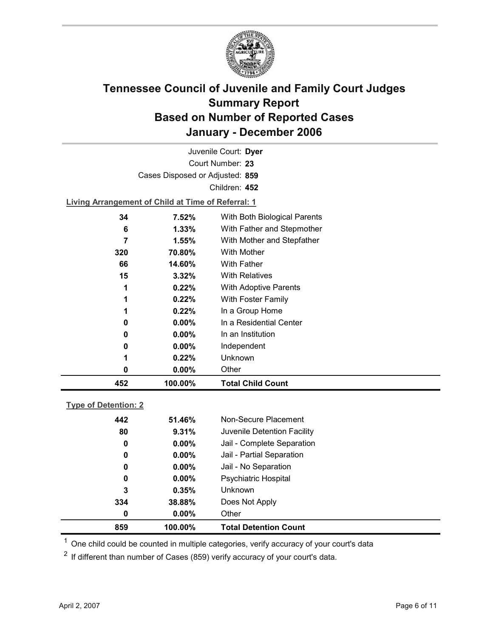

Court Number: **23** Juvenile Court: **Dyer** Cases Disposed or Adjusted: **859** Children: **452**

**Living Arrangement of Child at Time of Referral: 1**

| 452 | 100.00%  | <b>Total Child Count</b>     |
|-----|----------|------------------------------|
| 0   | $0.00\%$ | Other                        |
| 1   | 0.22%    | Unknown                      |
| 0   | $0.00\%$ | Independent                  |
| 0   | $0.00\%$ | In an Institution            |
| 0   | $0.00\%$ | In a Residential Center      |
| 1   | 0.22%    | In a Group Home              |
| 1   | 0.22%    | With Foster Family           |
| 1   | 0.22%    | <b>With Adoptive Parents</b> |
| 15  | 3.32%    | <b>With Relatives</b>        |
| 66  | 14.60%   | <b>With Father</b>           |
| 320 | 70.80%   | With Mother                  |
| 7   | 1.55%    | With Mother and Stepfather   |
| 6   | $1.33\%$ | With Father and Stepmother   |
| 34  | 7.52%    | With Both Biological Parents |
|     |          |                              |

### **Type of Detention: 2**

| 859 | 100.00%  | <b>Total Detention Count</b> |
|-----|----------|------------------------------|
| 0   | $0.00\%$ | Other                        |
| 334 | 38.88%   | Does Not Apply               |
| 3   | 0.35%    | <b>Unknown</b>               |
| 0   | $0.00\%$ | <b>Psychiatric Hospital</b>  |
| 0   | $0.00\%$ | Jail - No Separation         |
| 0   | $0.00\%$ | Jail - Partial Separation    |
| 0   | $0.00\%$ | Jail - Complete Separation   |
| 80  | 9.31%    | Juvenile Detention Facility  |
| 442 | 51.46%   | Non-Secure Placement         |
|     |          |                              |

 $<sup>1</sup>$  One child could be counted in multiple categories, verify accuracy of your court's data</sup>

 $2$  If different than number of Cases (859) verify accuracy of your court's data.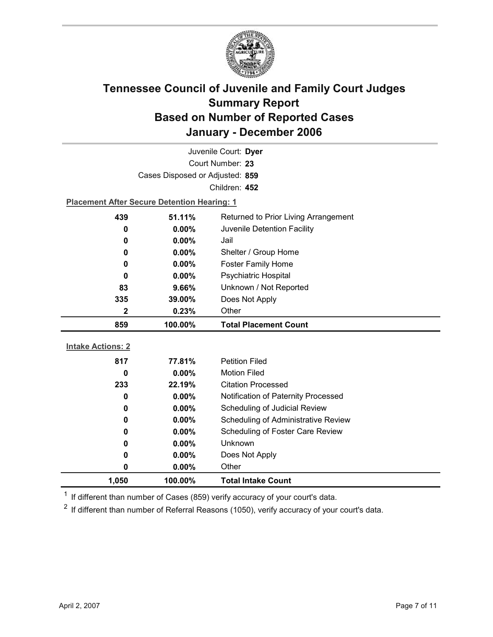

| Juvenile Court: Dyer     |                                                    |                                            |  |  |
|--------------------------|----------------------------------------------------|--------------------------------------------|--|--|
| Court Number: 23         |                                                    |                                            |  |  |
|                          | Cases Disposed or Adjusted: 859                    |                                            |  |  |
|                          |                                                    | Children: 452                              |  |  |
|                          | <b>Placement After Secure Detention Hearing: 1</b> |                                            |  |  |
| 439                      | 51.11%                                             | Returned to Prior Living Arrangement       |  |  |
| 0                        | $0.00\%$                                           | Juvenile Detention Facility                |  |  |
| 0                        | 0.00%                                              | Jail                                       |  |  |
| 0                        | 0.00%                                              | Shelter / Group Home                       |  |  |
| 0                        | $0.00\%$                                           | <b>Foster Family Home</b>                  |  |  |
| 0                        | 0.00%                                              | Psychiatric Hospital                       |  |  |
| 83                       | 9.66%                                              | Unknown / Not Reported                     |  |  |
| 335                      | 39.00%                                             | Does Not Apply                             |  |  |
| 2                        | 0.23%                                              | Other                                      |  |  |
|                          |                                                    |                                            |  |  |
| 859                      | 100.00%                                            | <b>Total Placement Count</b>               |  |  |
|                          |                                                    |                                            |  |  |
| <b>Intake Actions: 2</b> |                                                    |                                            |  |  |
| 817                      | 77.81%                                             | <b>Petition Filed</b>                      |  |  |
| 0                        | $0.00\%$                                           | <b>Motion Filed</b>                        |  |  |
| 233                      | 22.19%                                             | <b>Citation Processed</b>                  |  |  |
| 0                        | 0.00%                                              | Notification of Paternity Processed        |  |  |
| 0                        | 0.00%                                              | Scheduling of Judicial Review              |  |  |
| 0                        | $0.00\%$                                           | <b>Scheduling of Administrative Review</b> |  |  |
| 0                        | 0.00%                                              | Scheduling of Foster Care Review           |  |  |
| 0                        | $0.00\%$                                           | <b>Unknown</b>                             |  |  |
| 0                        | 0.00%                                              | Does Not Apply                             |  |  |
| 0                        | 0.00%                                              | Other                                      |  |  |

 $1$  If different than number of Cases (859) verify accuracy of your court's data.

 $2$  If different than number of Referral Reasons (1050), verify accuracy of your court's data.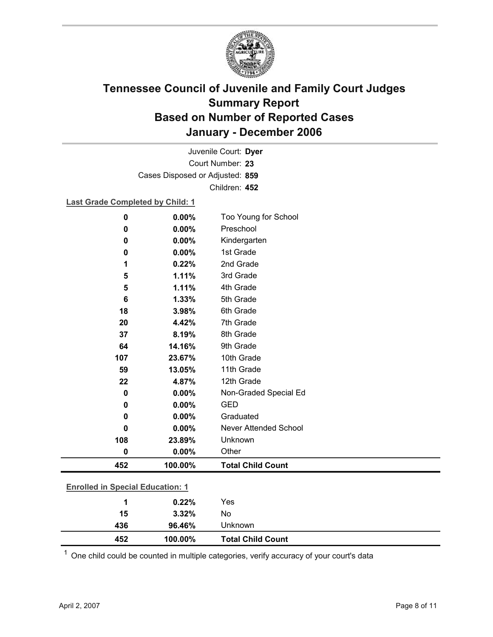

Court Number: **23** Juvenile Court: **Dyer** Cases Disposed or Adjusted: **859** Children: **452**

### **Last Grade Completed by Child: 1**

| $\mathbf 0$                             | 0.00%   | Too Young for School     |  |  |
|-----------------------------------------|---------|--------------------------|--|--|
| $\pmb{0}$                               | 0.00%   | Preschool                |  |  |
| $\mathbf 0$                             | 0.00%   | Kindergarten             |  |  |
| 0                                       | 0.00%   | 1st Grade                |  |  |
| 1                                       | 0.22%   | 2nd Grade                |  |  |
| 5                                       | 1.11%   | 3rd Grade                |  |  |
| 5                                       | 1.11%   | 4th Grade                |  |  |
| 6                                       | 1.33%   | 5th Grade                |  |  |
| 18                                      | 3.98%   | 6th Grade                |  |  |
| 20                                      | 4.42%   | 7th Grade                |  |  |
| 37                                      | 8.19%   | 8th Grade                |  |  |
| 64                                      | 14.16%  | 9th Grade                |  |  |
| 107                                     | 23.67%  | 10th Grade               |  |  |
| 59                                      | 13.05%  | 11th Grade               |  |  |
| 22                                      | 4.87%   | 12th Grade               |  |  |
| $\mathbf 0$                             | 0.00%   | Non-Graded Special Ed    |  |  |
| 0                                       | 0.00%   | <b>GED</b>               |  |  |
| 0                                       | 0.00%   | Graduated                |  |  |
| 0                                       | 0.00%   | Never Attended School    |  |  |
| 108                                     | 23.89%  | Unknown                  |  |  |
| $\pmb{0}$                               | 0.00%   | Other                    |  |  |
| 452                                     | 100.00% | <b>Total Child Count</b> |  |  |
|                                         |         |                          |  |  |
| <b>Enrolled in Special Education: 1</b> |         |                          |  |  |
| 1                                       | 0.22%   | Yes                      |  |  |
| 15                                      | 3.32%   | No                       |  |  |

 $1$  One child could be counted in multiple categories, verify accuracy of your court's data

**436 96.46%** Unknown

**452 100.00% Total Child Count**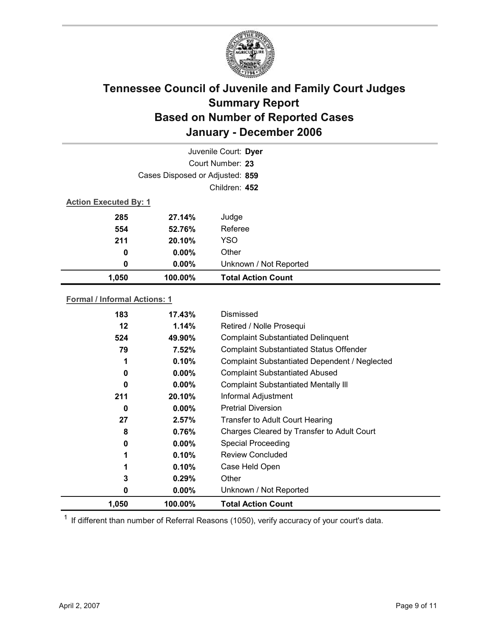

|                              | Juvenile Court: Dyer            |                           |  |  |
|------------------------------|---------------------------------|---------------------------|--|--|
| Court Number: 23             |                                 |                           |  |  |
|                              | Cases Disposed or Adjusted: 859 |                           |  |  |
|                              | Children: 452                   |                           |  |  |
| <b>Action Executed By: 1</b> |                                 |                           |  |  |
| 285                          | 27.14%                          | Judge                     |  |  |
| 554                          | 52.76%                          | Referee                   |  |  |
| 211                          | 20.10%                          | <b>YSO</b>                |  |  |
| 0                            | $0.00\%$                        | Other                     |  |  |
| 0                            | $0.00\%$                        | Unknown / Not Reported    |  |  |
| 1,050                        | 100.00%                         | <b>Total Action Count</b> |  |  |

### **Formal / Informal Actions: 1**

| 183   | 17.43%   | Dismissed                                      |
|-------|----------|------------------------------------------------|
| 12    | 1.14%    | Retired / Nolle Prosequi                       |
| 524   | 49.90%   | <b>Complaint Substantiated Delinquent</b>      |
| 79    | 7.52%    | <b>Complaint Substantiated Status Offender</b> |
| 1     | 0.10%    | Complaint Substantiated Dependent / Neglected  |
| 0     | $0.00\%$ | <b>Complaint Substantiated Abused</b>          |
| 0     | $0.00\%$ | <b>Complaint Substantiated Mentally III</b>    |
| 211   | 20.10%   | Informal Adjustment                            |
| 0     | $0.00\%$ | <b>Pretrial Diversion</b>                      |
| 27    | 2.57%    | Transfer to Adult Court Hearing                |
| 8     | 0.76%    | Charges Cleared by Transfer to Adult Court     |
| 0     | $0.00\%$ | <b>Special Proceeding</b>                      |
| 1     | 0.10%    | <b>Review Concluded</b>                        |
| 1     | 0.10%    | Case Held Open                                 |
| 3     | 0.29%    | Other                                          |
| 0     | $0.00\%$ | Unknown / Not Reported                         |
| 1,050 | 100.00%  | <b>Total Action Count</b>                      |

 $1$  If different than number of Referral Reasons (1050), verify accuracy of your court's data.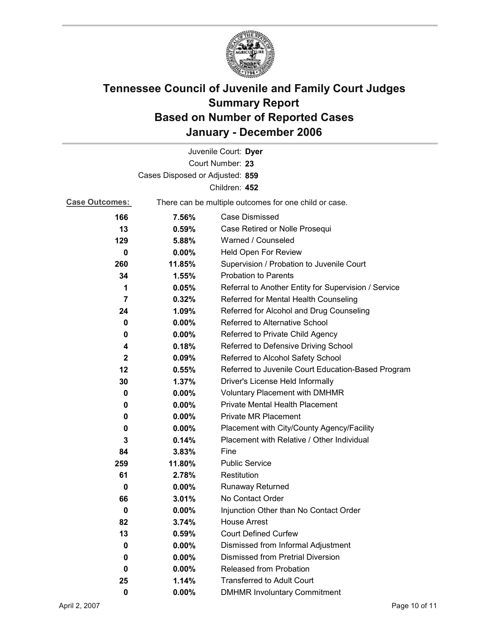

|                                 |                                                       | Juvenile Court: Dyer                                 |
|---------------------------------|-------------------------------------------------------|------------------------------------------------------|
|                                 |                                                       | Court Number: 23                                     |
| Cases Disposed or Adjusted: 859 |                                                       |                                                      |
|                                 |                                                       | Children: 452                                        |
| <b>Case Outcomes:</b>           | There can be multiple outcomes for one child or case. |                                                      |
| 166                             | 7.56%                                                 | <b>Case Dismissed</b>                                |
| 13                              | 0.59%                                                 | Case Retired or Nolle Prosequi                       |
| 129                             | 5.88%                                                 | Warned / Counseled                                   |
| 0                               | 0.00%                                                 | Held Open For Review                                 |
| 260                             | 11.85%                                                | Supervision / Probation to Juvenile Court            |
| 34                              | 1.55%                                                 | <b>Probation to Parents</b>                          |
| 1                               | 0.05%                                                 | Referral to Another Entity for Supervision / Service |
| $\overline{7}$                  | 0.32%                                                 | Referred for Mental Health Counseling                |
| 24                              | 1.09%                                                 | Referred for Alcohol and Drug Counseling             |
| 0                               | 0.00%                                                 | Referred to Alternative School                       |
| 0                               | $0.00\%$                                              | Referred to Private Child Agency                     |
| 4                               | 0.18%                                                 | Referred to Defensive Driving School                 |
| $\mathbf{2}$                    | 0.09%                                                 | Referred to Alcohol Safety School                    |
| 12                              | 0.55%                                                 | Referred to Juvenile Court Education-Based Program   |
| 30                              | 1.37%                                                 | Driver's License Held Informally                     |
| 0                               | $0.00\%$                                              | <b>Voluntary Placement with DMHMR</b>                |
| 0                               | $0.00\%$                                              | Private Mental Health Placement                      |
| 0                               | 0.00%                                                 | <b>Private MR Placement</b>                          |
| 0                               | $0.00\%$                                              | Placement with City/County Agency/Facility           |
| 3                               | 0.14%                                                 | Placement with Relative / Other Individual           |
| 84                              | 3.83%                                                 | Fine                                                 |
| 259                             | 11.80%                                                | <b>Public Service</b>                                |
| 61                              | 2.78%                                                 | Restitution                                          |
| 0                               | $0.00\%$                                              | <b>Runaway Returned</b>                              |
| 66                              | 3.01%                                                 | No Contact Order                                     |
| 0                               | 0.00%                                                 | Injunction Other than No Contact Order               |
| 82                              | 3.74%                                                 | <b>House Arrest</b>                                  |
| 13                              | 0.59%                                                 | <b>Court Defined Curfew</b>                          |
| 0                               | 0.00%                                                 | Dismissed from Informal Adjustment                   |
| 0                               | $0.00\%$                                              | <b>Dismissed from Pretrial Diversion</b>             |
| 0                               | $0.00\%$                                              | Released from Probation                              |
| 25                              | 1.14%                                                 | <b>Transferred to Adult Court</b>                    |
| $\mathbf 0$                     | 0.00%                                                 | <b>DMHMR Involuntary Commitment</b>                  |